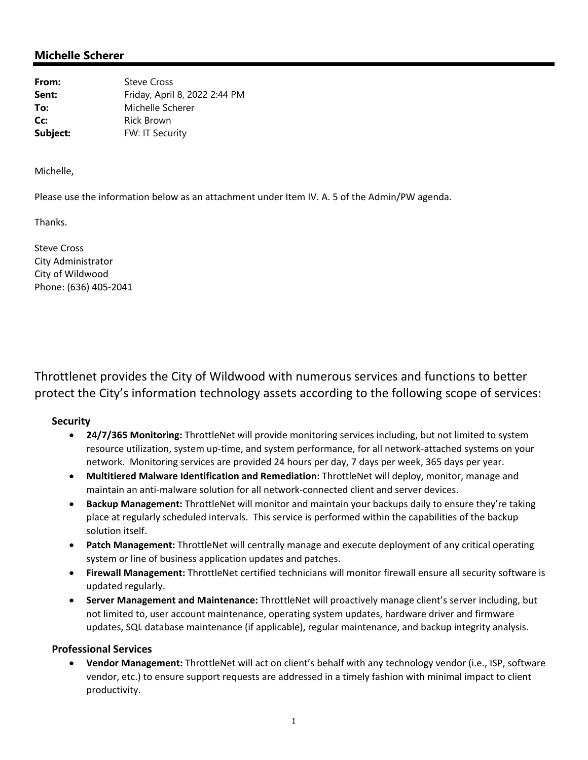# **Michelle Scherer**

| From:    | <b>Steve Cross</b>            |
|----------|-------------------------------|
| Sent:    | Friday, April 8, 2022 2:44 PM |
| To:      | Michelle Scherer              |
| Cc:      | <b>Rick Brown</b>             |
| Subject: | FW: IT Security               |

Michelle,

Please use the information below as an attachment under Item IV. A. 5 of the Admin/PW agenda.

Thanks.

Steve Cross City Administrator City of Wildwood Phone: (636) 405‐2041

Throttlenet provides the City of Wildwood with numerous services and functions to better protect the City's information technology assets according to the following scope of services:

#### **Security**

- **24/7/365 Monitoring:** ThrottleNet will provide monitoring services including, but not limited to system resource utilization, system up-time, and system performance, for all network-attached systems on your network. Monitoring services are provided 24 hours per day, 7 days per week, 365 days per year.
- **Multitiered Malware Identification and Remediation:** ThrottleNet will deploy, monitor, manage and maintain an anti‐malware solution for all network‐connected client and server devices.
- **Backup Management:** ThrottleNet will monitor and maintain your backups daily to ensure they're taking place at regularly scheduled intervals. This service is performed within the capabilities of the backup solution itself.
- **Patch Management:** ThrottleNet will centrally manage and execute deployment of any critical operating system or line of business application updates and patches.
- **Firewall Management:** ThrottleNet certified technicians will monitor firewall ensure all security software is updated regularly.
- **Server Management and Maintenance:** ThrottleNet will proactively manage client's server including, but not limited to, user account maintenance, operating system updates, hardware driver and firmware updates, SQL database maintenance (if applicable), regular maintenance, and backup integrity analysis.

#### **Professional Services**

 **Vendor Management:** ThrottleNet will act on client's behalf with any technology vendor (i.e., ISP, software vendor, etc.) to ensure support requests are addressed in a timely fashion with minimal impact to client productivity.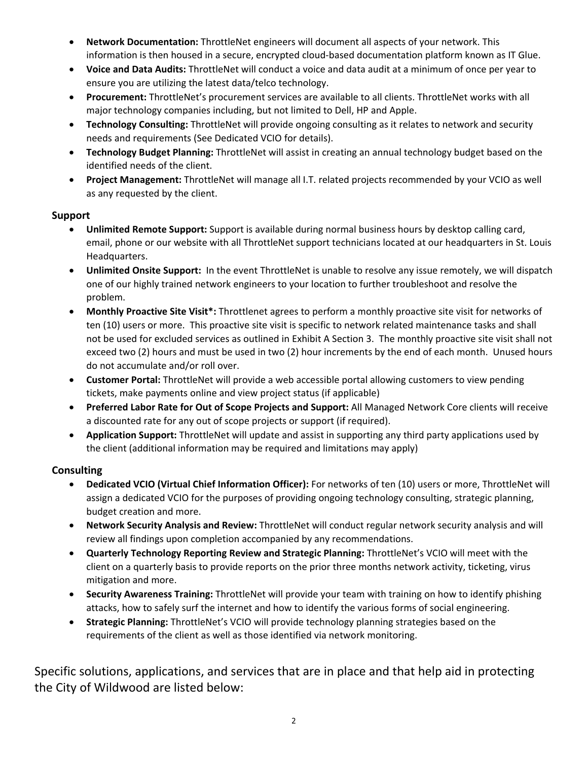- **Network Documentation:** ThrottleNet engineers will document all aspects of your network. This information is then housed in a secure, encrypted cloud-based documentation platform known as IT Glue.
- **Voice and Data Audits:** ThrottleNet will conduct a voice and data audit at a minimum of once per year to ensure you are utilizing the latest data/telco technology.
- **Procurement:** ThrottleNet's procurement services are available to all clients. ThrottleNet works with all major technology companies including, but not limited to Dell, HP and Apple.
- **Technology Consulting:** ThrottleNet will provide ongoing consulting as it relates to network and security needs and requirements (See Dedicated VCIO for details).
- **Technology Budget Planning:** ThrottleNet will assist in creating an annual technology budget based on the identified needs of the client.
- **Project Management:** ThrottleNet will manage all I.T. related projects recommended by your VCIO as well as any requested by the client.

## **Support**

- **Unlimited Remote Support:** Support is available during normal business hours by desktop calling card, email, phone or our website with all ThrottleNet support technicians located at our headquarters in St. Louis Headquarters.
- **Unlimited Onsite Support:** In the event ThrottleNet is unable to resolve any issue remotely, we will dispatch one of our highly trained network engineers to your location to further troubleshoot and resolve the problem.
- **Monthly Proactive Site Visit\*:** Throttlenet agrees to perform a monthly proactive site visit for networks of ten (10) users or more. This proactive site visit is specific to network related maintenance tasks and shall not be used for excluded services as outlined in Exhibit A Section 3. The monthly proactive site visit shall not exceed two (2) hours and must be used in two (2) hour increments by the end of each month. Unused hours do not accumulate and/or roll over.
- **Customer Portal:** ThrottleNet will provide a web accessible portal allowing customers to view pending tickets, make payments online and view project status (if applicable)
- **Preferred Labor Rate for Out of Scope Projects and Support:** All Managed Network Core clients will receive a discounted rate for any out of scope projects or support (if required).
- **Application Support:** ThrottleNet will update and assist in supporting any third party applications used by the client (additional information may be required and limitations may apply)

# **Consulting**

- **Dedicated VCIO (Virtual Chief Information Officer):** For networks of ten (10) users or more, ThrottleNet will assign a dedicated VCIO for the purposes of providing ongoing technology consulting, strategic planning, budget creation and more.
- **Network Security Analysis and Review:** ThrottleNet will conduct regular network security analysis and will review all findings upon completion accompanied by any recommendations.
- **Quarterly Technology Reporting Review and Strategic Planning:** ThrottleNet's VCIO will meet with the client on a quarterly basis to provide reports on the prior three months network activity, ticketing, virus mitigation and more.
- **Security Awareness Training:** ThrottleNet will provide your team with training on how to identify phishing attacks, how to safely surf the internet and how to identify the various forms of social engineering.
- **Strategic Planning:** ThrottleNet's VCIO will provide technology planning strategies based on the requirements of the client as well as those identified via network monitoring.

Specific solutions, applications, and services that are in place and that help aid in protecting the City of Wildwood are listed below: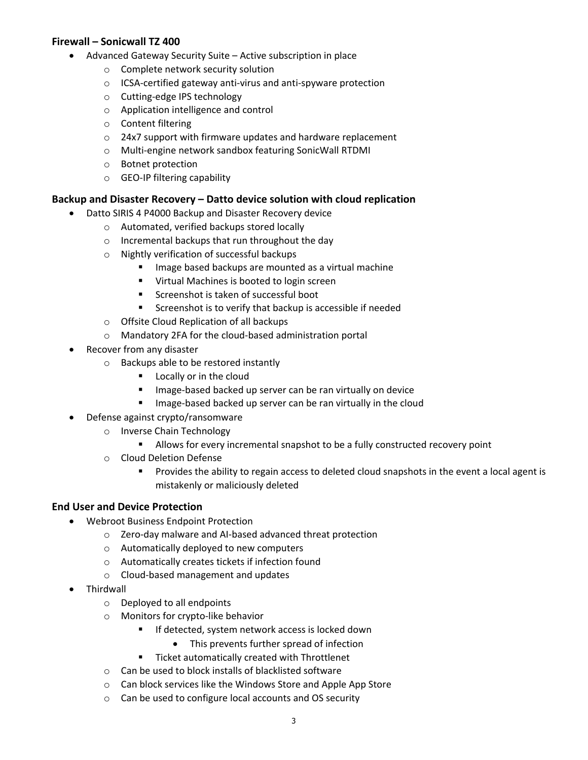## **Firewall – Sonicwall TZ 400**

- Advanced Gateway Security Suite Active subscription in place
	- o Complete network security solution
	- o ICSA‐certified gateway anti‐virus and anti‐spyware protection
	- o Cutting‐edge IPS technology
	- o Application intelligence and control
	- o Content filtering
	- o 24x7 support with firmware updates and hardware replacement
	- o Multi‐engine network sandbox featuring SonicWall RTDMI
	- o Botnet protection
	- o GEO‐IP filtering capability

### **Backup and Disaster Recovery – Datto device solution with cloud replication**

- Datto SIRIS 4 P4000 Backup and Disaster Recovery device
	- o Automated, verified backups stored locally
	- o Incremental backups that run throughout the day
	- o Nightly verification of successful backups
		- **IMage based backups are mounted as a virtual machine**
		- Virtual Machines is booted to login screen
		- **Screenshot is taken of successful boot**
		- **EXECTE:** Screenshot is to verify that backup is accessible if needed
	- o Offsite Cloud Replication of all backups
	- o Mandatory 2FA for the cloud‐based administration portal
- Recover from any disaster
	- o Backups able to be restored instantly
		- **Locally or in the cloud**
		- Image-based backed up server can be ran virtually on device
		- Image-based backed up server can be ran virtually in the cloud
- Defense against crypto/ransomware
	- o Inverse Chain Technology
		- Allows for every incremental snapshot to be a fully constructed recovery point
	- o Cloud Deletion Defense
		- Provides the ability to regain access to deleted cloud snapshots in the event a local agent is mistakenly or maliciously deleted

### **End User and Device Protection**

- Webroot Business Endpoint Protection
	- o Zero‐day malware and AI‐based advanced threat protection
	- o Automatically deployed to new computers
	- o Automatically creates tickets if infection found
	- o Cloud‐based management and updates
- Thirdwall
	- o Deployed to all endpoints
	- o Monitors for crypto‐like behavior
		- If detected, system network access is locked down
			- This prevents further spread of infection
		- **Ticket automatically created with Throttlenet**
	- o Can be used to block installs of blacklisted software
	- o Can block services like the Windows Store and Apple App Store
	- o Can be used to configure local accounts and OS security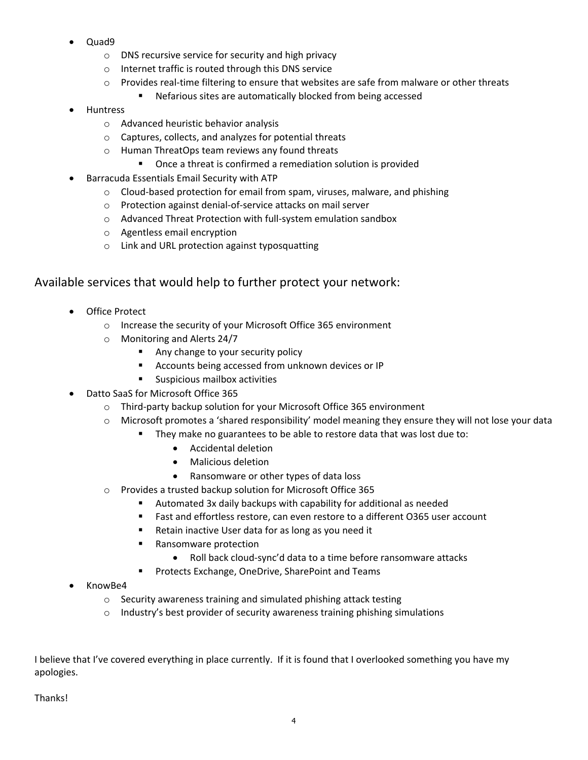- Quad9
	- o DNS recursive service for security and high privacy
	- o Internet traffic is routed through this DNS service
	- $\circ$  Provides real-time filtering to ensure that websites are safe from malware or other threats
		- Nefarious sites are automatically blocked from being accessed
- Huntress
	- o Advanced heuristic behavior analysis
	- o Captures, collects, and analyzes for potential threats
	- o Human ThreatOps team reviews any found threats
		- Once a threat is confirmed a remediation solution is provided
- Barracuda Essentials Email Security with ATP
	- o Cloud‐based protection for email from spam, viruses, malware, and phishing
	- o Protection against denial‐of‐service attacks on mail server
	- o Advanced Threat Protection with full‐system emulation sandbox
	- o Agentless email encryption
	- o Link and URL protection against typosquatting

# Available services that would help to further protect your network:

- Office Protect
	- o Increase the security of your Microsoft Office 365 environment
	- o Monitoring and Alerts 24/7
		- Any change to your security policy
		- **Accounts being accessed from unknown devices or IP**
		- **Suspicious mailbox activities**
- Datto SaaS for Microsoft Office 365
	- o Third‐party backup solution for your Microsoft Office 365 environment
	- o Microsoft promotes a 'shared responsibility' model meaning they ensure they will not lose your data
		- **They make no guarantees to be able to restore data that was lost due to:** 
			- Accidental deletion
			- Malicious deletion
			- Ransomware or other types of data loss
	- o Provides a trusted backup solution for Microsoft Office 365
		- Automated 3x daily backups with capability for additional as needed
		- Fast and effortless restore, can even restore to a different O365 user account
		- Retain inactive User data for as long as you need it
		- Ransomware protection
			- Roll back cloud-sync'd data to a time before ransomware attacks
		- Protects Exchange, OneDrive, SharePoint and Teams
- KnowBe4
	- o Security awareness training and simulated phishing attack testing
	- o Industry's best provider of security awareness training phishing simulations

I believe that I've covered everything in place currently. If it is found that I overlooked something you have my apologies.

Thanks!